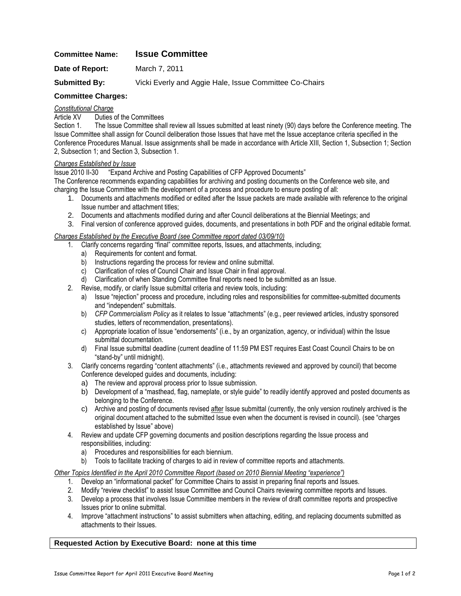# **Committee Name: Issue Committee**

**Date of Report:** March 7, 2011

**Submitted By:** Vicki Everly and Aggie Hale, Issue Committee Co-Chairs

# **Committee Charges:**

#### *Constitutional Charge*

Article XV Duties of the Committees

Section 1. The Issue Committee shall review all Issues submitted at least ninety (90) days before the Conference meeting. The Issue Committee shall assign for Council deliberation those Issues that have met the Issue acceptance criteria specified in the Conference Procedures Manual. Issue assignments shall be made in accordance with Article XIII, Section 1, Subsection 1; Section 2, Subsection 1; and Section 3, Subsection 1.

#### *Charges Established by Issue*

Issue 2010 II-30 "Expand Archive and Posting Capabilities of CFP Approved Documents"

The Conference recommends expanding capabilities for archiving and posting documents on the Conference web site, and charging the Issue Committee with the development of a process and procedure to ensure posting of all:

- 1. Documents and attachments modified or edited after the Issue packets are made available with reference to the original Issue number and attachment titles;
- 2. Documents and attachments modified during and after Council deliberations at the Biennial Meetings; and

3. Final version of conference approved guides, documents, and presentations in both PDF and the original editable format.

#### *Charges Established by the Executive Board (see Committee report dated 03/09/10)*

- 1. Clarify concerns regarding "final" committee reports, Issues, and attachments, including;
	- a) Requirements for content and format.
	- b) Instructions regarding the process for review and online submittal.
	- c) Clarification of roles of Council Chair and Issue Chair in final approval.
	- d) Clarification of when Standing Committee final reports need to be submitted as an Issue.
- 2. Revise, modify, or clarify Issue submittal criteria and review tools, including:
	- a) Issue "rejection" process and procedure, including roles and responsibilities for committee-submitted documents and "independent" submittals.
	- b) *CFP Commercialism Policy* as it relates to Issue "attachments" (e.g., peer reviewed articles, industry sponsored studies, letters of recommendation, presentations).
	- c) Appropriate location of Issue "endorsements" (i.e., by an organization, agency, or individual) within the Issue submittal documentation.
	- d) Final Issue submittal deadline (current deadline of 11:59 PM EST requires East Coast Council Chairs to be on "stand-by" until midnight).
- 3. Clarify concerns regarding "content attachments" (i.e., attachments reviewed and approved by council) that become Conference developed guides and documents, including:
	- a) The review and approval process prior to Issue submission.
	- b) Development of a "masthead, flag, nameplate, or style guide" to readily identify approved and posted documents as belonging to the Conference.
	- c) Archive and posting of documents revised after Issue submittal (currently, the only version routinely archived is the original document attached to the submitted Issue even when the document is revised in council). (see "charges established by Issue" above)
- 4. Review and update CFP governing documents and position descriptions regarding the Issue process and responsibilities, including:
	- a) Procedures and responsibilities for each biennium.
	- b) Tools to facilitate tracking of charges to aid in review of committee reports and attachments.

## *Other Topics Identified in the April 2010 Committee Report (based on 2010 Biennial Meeting "experience")*

- 1. Develop an "informational packet" for Committee Chairs to assist in preparing final reports and Issues.
- 2. Modify "review checklist" to assist Issue Committee and Council Chairs reviewing committee reports and Issues.
- 3. Develop a process that involves Issue Committee members in the review of draft committee reports and prospective Issues prior to online submittal.
- 4. Improve "attachment instructions" to assist submitters when attaching, editing, and replacing documents submitted as attachments to their Issues.

### **Requested Action by Executive Board: none at this time**